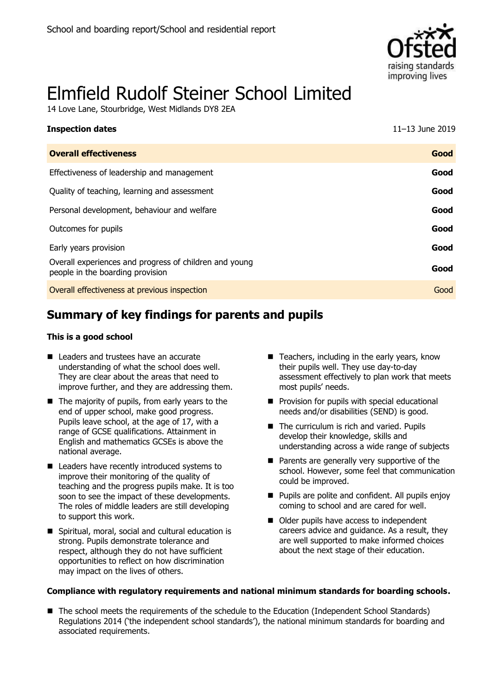

# Elmfield Rudolf Steiner School Limited

14 Love Lane, Stourbridge, West Midlands DY8 2EA

| <b>Inspection dates</b>                                                                    | 11-13 June 2019 |
|--------------------------------------------------------------------------------------------|-----------------|
| <b>Overall effectiveness</b>                                                               | Good            |
| Effectiveness of leadership and management                                                 | Good            |
| Quality of teaching, learning and assessment                                               | Good            |
| Personal development, behaviour and welfare                                                | Good            |
| Outcomes for pupils                                                                        | Good            |
| Early years provision                                                                      | Good            |
| Overall experiences and progress of children and young<br>people in the boarding provision | Good            |
| Overall effectiveness at previous inspection                                               | Good            |

# **Summary of key findings for parents and pupils**

#### **This is a good school**

- Leaders and trustees have an accurate understanding of what the school does well. They are clear about the areas that need to improve further, and they are addressing them.
- $\blacksquare$  The majority of pupils, from early years to the end of upper school, make good progress. Pupils leave school, at the age of 17, with a range of GCSE qualifications. Attainment in English and mathematics GCSEs is above the national average.
- Leaders have recently introduced systems to improve their monitoring of the quality of teaching and the progress pupils make. It is too soon to see the impact of these developments. The roles of middle leaders are still developing to support this work.
- Spiritual, moral, social and cultural education is strong. Pupils demonstrate tolerance and respect, although they do not have sufficient opportunities to reflect on how discrimination may impact on the lives of others.
- $\blacksquare$  Teachers, including in the early years, know their pupils well. They use day-to-day assessment effectively to plan work that meets most pupils' needs.
- **Provision for pupils with special educational** needs and/or disabilities (SEND) is good.
- The curriculum is rich and varied. Pupils develop their knowledge, skills and understanding across a wide range of subjects
- **Parents are generally very supportive of the** school. However, some feel that communication could be improved.
- **Pupils are polite and confident. All pupils enjoy** coming to school and are cared for well.
- Older pupils have access to independent careers advice and guidance. As a result, they are well supported to make informed choices about the next stage of their education.

#### **Compliance with regulatory requirements and national minimum standards for boarding schools.**

■ The school meets the requirements of the schedule to the Education (Independent School Standards) Regulations 2014 ('the independent school standards'), the national minimum standards for boarding and associated requirements.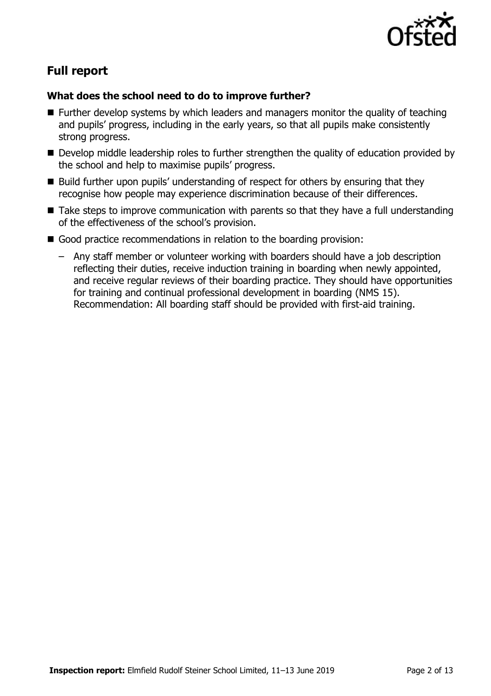

# **Full report**

### **What does the school need to do to improve further?**

- Further develop systems by which leaders and managers monitor the quality of teaching and pupils' progress, including in the early years, so that all pupils make consistently strong progress.
- Develop middle leadership roles to further strengthen the quality of education provided by the school and help to maximise pupils' progress.
- Build further upon pupils' understanding of respect for others by ensuring that they recognise how people may experience discrimination because of their differences.
- Take steps to improve communication with parents so that they have a full understanding of the effectiveness of the school's provision.
- Good practice recommendations in relation to the boarding provision:
	- Any staff member or volunteer working with boarders should have a job description reflecting their duties, receive induction training in boarding when newly appointed, and receive regular reviews of their boarding practice. They should have opportunities for training and continual professional development in boarding (NMS 15). Recommendation: All boarding staff should be provided with first-aid training.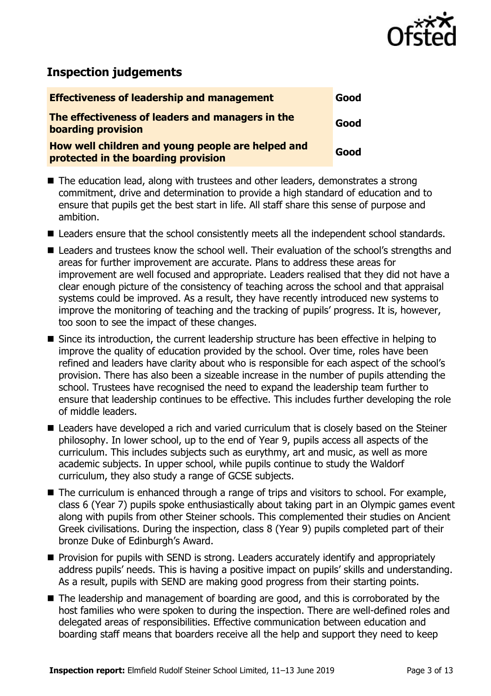

# **Inspection judgements**

| <b>Effectiveness of leadership and management</b>                                        | Good |
|------------------------------------------------------------------------------------------|------|
| The effectiveness of leaders and managers in the<br><b>boarding provision</b>            | Good |
| How well children and young people are helped and<br>protected in the boarding provision | Good |

- The education lead, along with trustees and other leaders, demonstrates a strong commitment, drive and determination to provide a high standard of education and to ensure that pupils get the best start in life. All staff share this sense of purpose and ambition.
- **E** Leaders ensure that the school consistently meets all the independent school standards.
- Leaders and trustees know the school well. Their evaluation of the school's strengths and areas for further improvement are accurate. Plans to address these areas for improvement are well focused and appropriate. Leaders realised that they did not have a clear enough picture of the consistency of teaching across the school and that appraisal systems could be improved. As a result, they have recently introduced new systems to improve the monitoring of teaching and the tracking of pupils' progress. It is, however, too soon to see the impact of these changes.
- Since its introduction, the current leadership structure has been effective in helping to improve the quality of education provided by the school. Over time, roles have been refined and leaders have clarity about who is responsible for each aspect of the school's provision. There has also been a sizeable increase in the number of pupils attending the school. Trustees have recognised the need to expand the leadership team further to ensure that leadership continues to be effective. This includes further developing the role of middle leaders.
- Leaders have developed a rich and varied curriculum that is closely based on the Steiner philosophy. In lower school, up to the end of Year 9, pupils access all aspects of the curriculum. This includes subjects such as eurythmy, art and music, as well as more academic subjects. In upper school, while pupils continue to study the Waldorf curriculum, they also study a range of GCSE subjects.
- The curriculum is enhanced through a range of trips and visitors to school. For example, class 6 (Year 7) pupils spoke enthusiastically about taking part in an Olympic games event along with pupils from other Steiner schools. This complemented their studies on Ancient Greek civilisations. During the inspection, class 8 (Year 9) pupils completed part of their bronze Duke of Edinburgh's Award.
- **Provision for pupils with SEND is strong. Leaders accurately identify and appropriately** address pupils' needs. This is having a positive impact on pupils' skills and understanding. As a result, pupils with SEND are making good progress from their starting points.
- The leadership and management of boarding are good, and this is corroborated by the host families who were spoken to during the inspection. There are well-defined roles and delegated areas of responsibilities. Effective communication between education and boarding staff means that boarders receive all the help and support they need to keep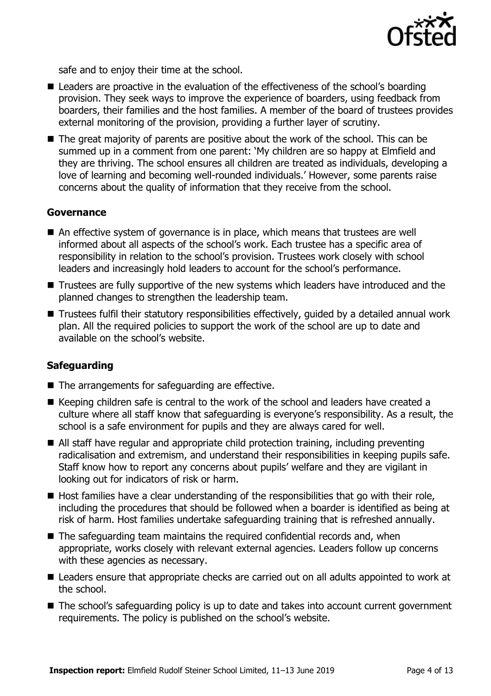

safe and to enjoy their time at the school.

- Leaders are proactive in the evaluation of the effectiveness of the school's boarding provision. They seek ways to improve the experience of boarders, using feedback from boarders, their families and the host families. A member of the board of trustees provides external monitoring of the provision, providing a further layer of scrutiny.
- The great majority of parents are positive about the work of the school. This can be summed up in a comment from one parent: 'My children are so happy at Elmfield and they are thriving. The school ensures all children are treated as individuals, developing a love of learning and becoming well-rounded individuals.' However, some parents raise concerns about the quality of information that they receive from the school.

#### **Governance**

- An effective system of governance is in place, which means that trustees are well informed about all aspects of the school's work. Each trustee has a specific area of responsibility in relation to the school's provision. Trustees work closely with school leaders and increasingly hold leaders to account for the school's performance.
- Trustees are fully supportive of the new systems which leaders have introduced and the planned changes to strengthen the leadership team.
- Trustees fulfil their statutory responsibilities effectively, quided by a detailed annual work plan. All the required policies to support the work of the school are up to date and available on the school's website.

#### **Safeguarding**

- $\blacksquare$  The arrangements for safeguarding are effective.
- Keeping children safe is central to the work of the school and leaders have created a culture where all staff know that safeguarding is everyone's responsibility. As a result, the school is a safe environment for pupils and they are always cared for well.
- All staff have regular and appropriate child protection training, including preventing radicalisation and extremism, and understand their responsibilities in keeping pupils safe. Staff know how to report any concerns about pupils' welfare and they are vigilant in looking out for indicators of risk or harm.
- $\blacksquare$  Host families have a clear understanding of the responsibilities that go with their role, including the procedures that should be followed when a boarder is identified as being at risk of harm. Host families undertake safeguarding training that is refreshed annually.
- $\blacksquare$  The safeguarding team maintains the required confidential records and, when appropriate, works closely with relevant external agencies. Leaders follow up concerns with these agencies as necessary.
- Leaders ensure that appropriate checks are carried out on all adults appointed to work at the school.
- The school's safeguarding policy is up to date and takes into account current government requirements. The policy is published on the school's website.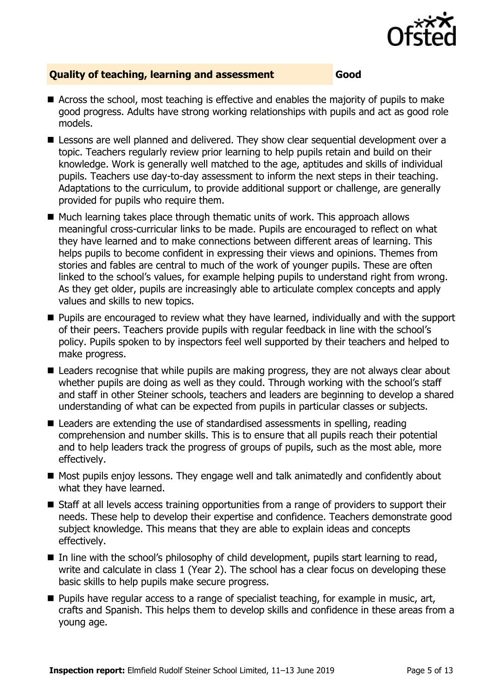

### **Quality of teaching, learning and assessment Good**

- Across the school, most teaching is effective and enables the majority of pupils to make good progress. Adults have strong working relationships with pupils and act as good role models.
- **E** Lessons are well planned and delivered. They show clear sequential development over a topic. Teachers regularly review prior learning to help pupils retain and build on their knowledge. Work is generally well matched to the age, aptitudes and skills of individual pupils. Teachers use day-to-day assessment to inform the next steps in their teaching. Adaptations to the curriculum, to provide additional support or challenge, are generally provided for pupils who require them.
- $\blacksquare$  Much learning takes place through thematic units of work. This approach allows meaningful cross-curricular links to be made. Pupils are encouraged to reflect on what they have learned and to make connections between different areas of learning. This helps pupils to become confident in expressing their views and opinions. Themes from stories and fables are central to much of the work of younger pupils. These are often linked to the school's values, for example helping pupils to understand right from wrong. As they get older, pupils are increasingly able to articulate complex concepts and apply values and skills to new topics.
- **Pupils are encouraged to review what they have learned, individually and with the support** of their peers. Teachers provide pupils with regular feedback in line with the school's policy. Pupils spoken to by inspectors feel well supported by their teachers and helped to make progress.
- Leaders recognise that while pupils are making progress, they are not always clear about whether pupils are doing as well as they could. Through working with the school's staff and staff in other Steiner schools, teachers and leaders are beginning to develop a shared understanding of what can be expected from pupils in particular classes or subjects.
- Leaders are extending the use of standardised assessments in spelling, reading comprehension and number skills. This is to ensure that all pupils reach their potential and to help leaders track the progress of groups of pupils, such as the most able, more effectively.
- Most pupils enjoy lessons. They engage well and talk animatedly and confidently about what they have learned.
- Staff at all levels access training opportunities from a range of providers to support their needs. These help to develop their expertise and confidence. Teachers demonstrate good subject knowledge. This means that they are able to explain ideas and concepts effectively.
- $\blacksquare$  In line with the school's philosophy of child development, pupils start learning to read, write and calculate in class 1 (Year 2). The school has a clear focus on developing these basic skills to help pupils make secure progress.
- **Pupils have regular access to a range of specialist teaching, for example in music, art,** crafts and Spanish. This helps them to develop skills and confidence in these areas from a young age.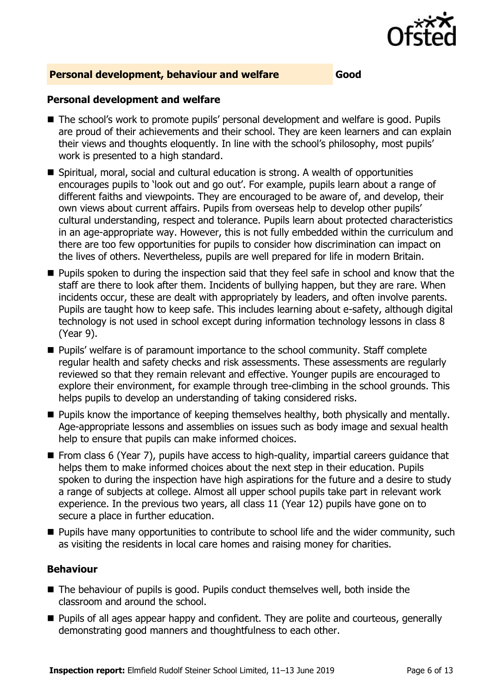

#### **Personal development, behaviour and welfare Good**

#### **Personal development and welfare**

- The school's work to promote pupils' personal development and welfare is good. Pupils are proud of their achievements and their school. They are keen learners and can explain their views and thoughts eloquently. In line with the school's philosophy, most pupils' work is presented to a high standard.
- Spiritual, moral, social and cultural education is strong. A wealth of opportunities encourages pupils to 'look out and go out'. For example, pupils learn about a range of different faiths and viewpoints. They are encouraged to be aware of, and develop, their own views about current affairs. Pupils from overseas help to develop other pupils' cultural understanding, respect and tolerance. Pupils learn about protected characteristics in an age-appropriate way. However, this is not fully embedded within the curriculum and there are too few opportunities for pupils to consider how discrimination can impact on the lives of others. Nevertheless, pupils are well prepared for life in modern Britain.
- **Pupils spoken to during the inspection said that they feel safe in school and know that the** staff are there to look after them. Incidents of bullying happen, but they are rare. When incidents occur, these are dealt with appropriately by leaders, and often involve parents. Pupils are taught how to keep safe. This includes learning about e-safety, although digital technology is not used in school except during information technology lessons in class 8 (Year 9).
- Pupils' welfare is of paramount importance to the school community. Staff complete regular health and safety checks and risk assessments. These assessments are regularly reviewed so that they remain relevant and effective. Younger pupils are encouraged to explore their environment, for example through tree-climbing in the school grounds. This helps pupils to develop an understanding of taking considered risks.
- **Pupils know the importance of keeping themselves healthy, both physically and mentally.** Age-appropriate lessons and assemblies on issues such as body image and sexual health help to ensure that pupils can make informed choices.
- From class 6 (Year 7), pupils have access to high-quality, impartial careers guidance that helps them to make informed choices about the next step in their education. Pupils spoken to during the inspection have high aspirations for the future and a desire to study a range of subjects at college. Almost all upper school pupils take part in relevant work experience. In the previous two years, all class 11 (Year 12) pupils have gone on to secure a place in further education.
- **Pupils have many opportunities to contribute to school life and the wider community, such** as visiting the residents in local care homes and raising money for charities.

### **Behaviour**

- The behaviour of pupils is good. Pupils conduct themselves well, both inside the classroom and around the school.
- **Pupils of all ages appear happy and confident. They are polite and courteous, generally** demonstrating good manners and thoughtfulness to each other.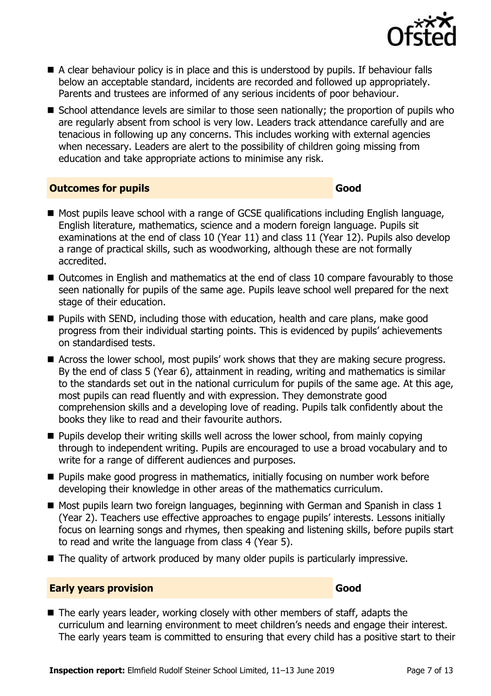

- A clear behaviour policy is in place and this is understood by pupils. If behaviour falls below an acceptable standard, incidents are recorded and followed up appropriately. Parents and trustees are informed of any serious incidents of poor behaviour.
- School attendance levels are similar to those seen nationally; the proportion of pupils who are regularly absent from school is very low. Leaders track attendance carefully and are tenacious in following up any concerns. This includes working with external agencies when necessary. Leaders are alert to the possibility of children going missing from education and take appropriate actions to minimise any risk.

#### **Outcomes for pupils Good**

- Most pupils leave school with a range of GCSE qualifications including English language, English literature, mathematics, science and a modern foreign language. Pupils sit examinations at the end of class 10 (Year 11) and class 11 (Year 12). Pupils also develop a range of practical skills, such as woodworking, although these are not formally accredited.
- Outcomes in English and mathematics at the end of class 10 compare favourably to those seen nationally for pupils of the same age. Pupils leave school well prepared for the next stage of their education.
- **Pupils with SEND, including those with education, health and care plans, make good** progress from their individual starting points. This is evidenced by pupils' achievements on standardised tests.
- Across the lower school, most pupils' work shows that they are making secure progress. By the end of class 5 (Year 6), attainment in reading, writing and mathematics is similar to the standards set out in the national curriculum for pupils of the same age. At this age, most pupils can read fluently and with expression. They demonstrate good comprehension skills and a developing love of reading. Pupils talk confidently about the books they like to read and their favourite authors.
- **Pupils develop their writing skills well across the lower school, from mainly copying** through to independent writing. Pupils are encouraged to use a broad vocabulary and to write for a range of different audiences and purposes.
- **Pupils make good progress in mathematics, initially focusing on number work before** developing their knowledge in other areas of the mathematics curriculum.
- Most pupils learn two foreign languages, beginning with German and Spanish in class 1 (Year 2). Teachers use effective approaches to engage pupils' interests. Lessons initially focus on learning songs and rhymes, then speaking and listening skills, before pupils start to read and write the language from class 4 (Year 5).
- The quality of artwork produced by many older pupils is particularly impressive.

#### **Early years provision Good Good**

■ The early years leader, working closely with other members of staff, adapts the curriculum and learning environment to meet children's needs and engage their interest. The early years team is committed to ensuring that every child has a positive start to their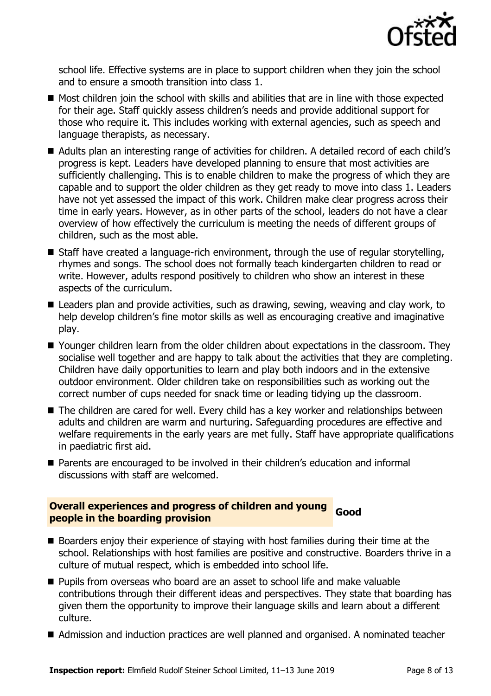

school life. Effective systems are in place to support children when they join the school and to ensure a smooth transition into class 1.

- Most children join the school with skills and abilities that are in line with those expected for their age. Staff quickly assess children's needs and provide additional support for those who require it. This includes working with external agencies, such as speech and language therapists, as necessary.
- Adults plan an interesting range of activities for children. A detailed record of each child's progress is kept. Leaders have developed planning to ensure that most activities are sufficiently challenging. This is to enable children to make the progress of which they are capable and to support the older children as they get ready to move into class 1. Leaders have not yet assessed the impact of this work. Children make clear progress across their time in early years. However, as in other parts of the school, leaders do not have a clear overview of how effectively the curriculum is meeting the needs of different groups of children, such as the most able.
- Staff have created a language-rich environment, through the use of regular storytelling, rhymes and songs. The school does not formally teach kindergarten children to read or write. However, adults respond positively to children who show an interest in these aspects of the curriculum.
- Leaders plan and provide activities, such as drawing, sewing, weaving and clay work, to help develop children's fine motor skills as well as encouraging creative and imaginative play.
- Younger children learn from the older children about expectations in the classroom. They socialise well together and are happy to talk about the activities that they are completing. Children have daily opportunities to learn and play both indoors and in the extensive outdoor environment. Older children take on responsibilities such as working out the correct number of cups needed for snack time or leading tidying up the classroom.
- The children are cared for well. Every child has a key worker and relationships between adults and children are warm and nurturing. Safeguarding procedures are effective and welfare requirements in the early years are met fully. Staff have appropriate qualifications in paediatric first aid.
- Parents are encouraged to be involved in their children's education and informal discussions with staff are welcomed.

#### **Overall experiences and progress of children and young people in the boarding provision community Good people in the boarding provision**

- Boarders enjoy their experience of staying with host families during their time at the school. Relationships with host families are positive and constructive. Boarders thrive in a culture of mutual respect, which is embedded into school life.
- **Pupils from overseas who board are an asset to school life and make valuable** contributions through their different ideas and perspectives. They state that boarding has given them the opportunity to improve their language skills and learn about a different culture.
- Admission and induction practices are well planned and organised. A nominated teacher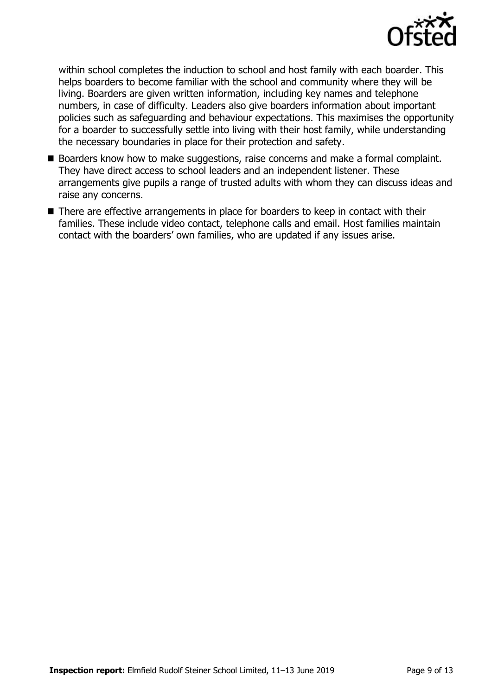

within school completes the induction to school and host family with each boarder. This helps boarders to become familiar with the school and community where they will be living. Boarders are given written information, including key names and telephone numbers, in case of difficulty. Leaders also give boarders information about important policies such as safeguarding and behaviour expectations. This maximises the opportunity for a boarder to successfully settle into living with their host family, while understanding the necessary boundaries in place for their protection and safety.

- Boarders know how to make suggestions, raise concerns and make a formal complaint. They have direct access to school leaders and an independent listener. These arrangements give pupils a range of trusted adults with whom they can discuss ideas and raise any concerns.
- There are effective arrangements in place for boarders to keep in contact with their families. These include video contact, telephone calls and email. Host families maintain contact with the boarders' own families, who are updated if any issues arise.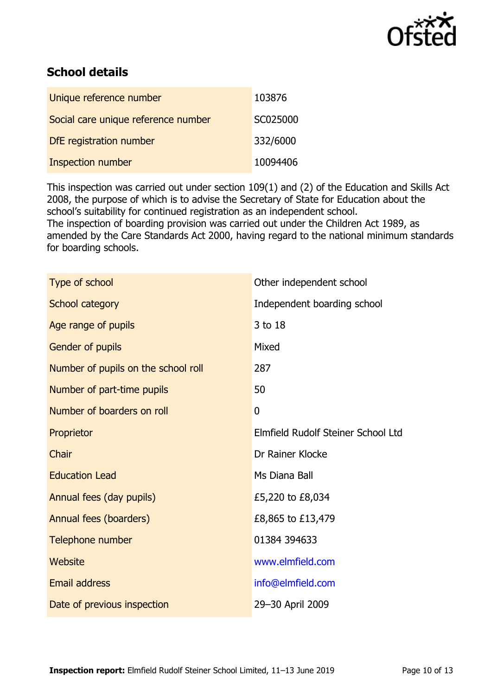

## **School details**

| Unique reference number             | 103876   |
|-------------------------------------|----------|
| Social care unique reference number | SC025000 |
| DfE registration number             | 332/6000 |
| Inspection number                   | 10094406 |

This inspection was carried out under section 109(1) and (2) of the Education and Skills Act 2008, the purpose of which is to advise the Secretary of State for Education about the school's suitability for continued registration as an independent school.

The inspection of boarding provision was carried out under the Children Act 1989, as amended by the Care Standards Act 2000, having regard to the national minimum standards for boarding schools.

| Type of school                      | Other independent school           |
|-------------------------------------|------------------------------------|
| School category                     | Independent boarding school        |
| Age range of pupils                 | 3 to 18                            |
| Gender of pupils                    | Mixed                              |
| Number of pupils on the school roll | 287                                |
| Number of part-time pupils          | 50                                 |
| Number of boarders on roll          | $\mathbf 0$                        |
| Proprietor                          | Elmfield Rudolf Steiner School Ltd |
| Chair                               | Dr Rainer Klocke                   |
| <b>Education Lead</b>               | Ms Diana Ball                      |
| Annual fees (day pupils)            | £5,220 to £8,034                   |
| Annual fees (boarders)              | £8,865 to £13,479                  |
| Telephone number                    | 01384 394633                       |
| Website                             | www.elmfield.com                   |
| <b>Email address</b>                | info@elmfield.com                  |
| Date of previous inspection         | 29-30 April 2009                   |
|                                     |                                    |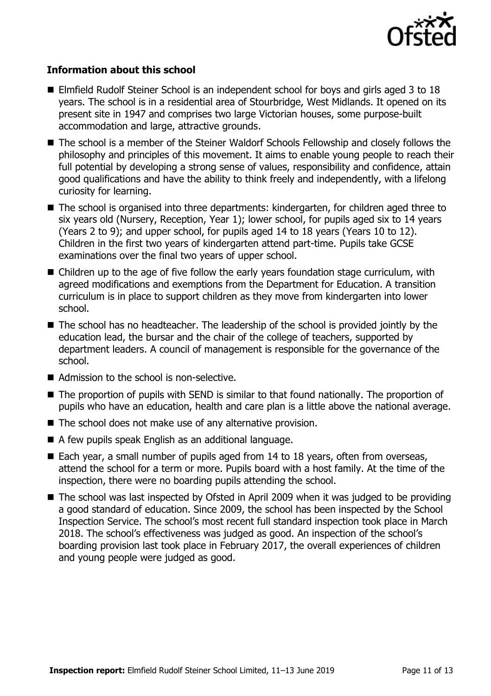

#### **Information about this school**

- Elmfield Rudolf Steiner School is an independent school for boys and girls aged 3 to 18 years. The school is in a residential area of Stourbridge, West Midlands. It opened on its present site in 1947 and comprises two large Victorian houses, some purpose-built accommodation and large, attractive grounds.
- The school is a member of the Steiner Waldorf Schools Fellowship and closely follows the philosophy and principles of this movement. It aims to enable young people to reach their full potential by developing a strong sense of values, responsibility and confidence, attain good qualifications and have the ability to think freely and independently, with a lifelong curiosity for learning.
- The school is organised into three departments: kindergarten, for children aged three to six years old (Nursery, Reception, Year 1); lower school, for pupils aged six to 14 years (Years 2 to 9); and upper school, for pupils aged 14 to 18 years (Years 10 to 12). Children in the first two years of kindergarten attend part-time. Pupils take GCSE examinations over the final two years of upper school.
- Children up to the age of five follow the early years foundation stage curriculum, with agreed modifications and exemptions from the Department for Education. A transition curriculum is in place to support children as they move from kindergarten into lower school.
- The school has no headteacher. The leadership of the school is provided jointly by the education lead, the bursar and the chair of the college of teachers, supported by department leaders. A council of management is responsible for the governance of the school.
- Admission to the school is non-selective.
- The proportion of pupils with SEND is similar to that found nationally. The proportion of pupils who have an education, health and care plan is a little above the national average.
- The school does not make use of any alternative provision.
- A few pupils speak English as an additional language.
- Each year, a small number of pupils aged from 14 to 18 years, often from overseas, attend the school for a term or more. Pupils board with a host family. At the time of the inspection, there were no boarding pupils attending the school.
- The school was last inspected by Ofsted in April 2009 when it was judged to be providing a good standard of education. Since 2009, the school has been inspected by the School Inspection Service. The school's most recent full standard inspection took place in March 2018. The school's effectiveness was judged as good. An inspection of the school's boarding provision last took place in February 2017, the overall experiences of children and young people were judged as good.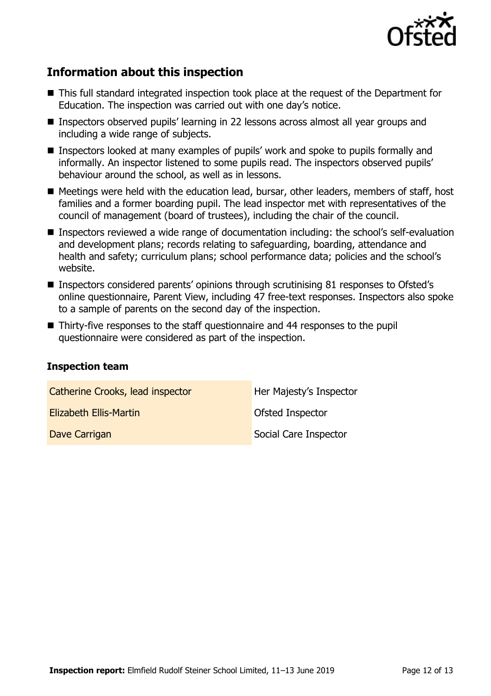

# **Information about this inspection**

- This full standard integrated inspection took place at the request of the Department for Education. The inspection was carried out with one day's notice.
- Inspectors observed pupils' learning in 22 lessons across almost all year groups and including a wide range of subjects.
- Inspectors looked at many examples of pupils' work and spoke to pupils formally and informally. An inspector listened to some pupils read. The inspectors observed pupils' behaviour around the school, as well as in lessons.
- Meetings were held with the education lead, bursar, other leaders, members of staff, host families and a former boarding pupil. The lead inspector met with representatives of the council of management (board of trustees), including the chair of the council.
- **Inspectors reviewed a wide range of documentation including: the school's self-evaluation** and development plans; records relating to safeguarding, boarding, attendance and health and safety; curriculum plans; school performance data; policies and the school's website.
- Inspectors considered parents' opinions through scrutinising 81 responses to Ofsted's online questionnaire, Parent View, including 47 free-text responses. Inspectors also spoke to a sample of parents on the second day of the inspection.
- Thirty-five responses to the staff questionnaire and 44 responses to the pupil questionnaire were considered as part of the inspection.

#### **Inspection team**

| Catherine Crooks, lead inspector | Her Majesty's Inspector |
|----------------------------------|-------------------------|
| Elizabeth Ellis-Martin           | Ofsted Inspector        |
| Dave Carrigan                    | Social Care Inspector   |